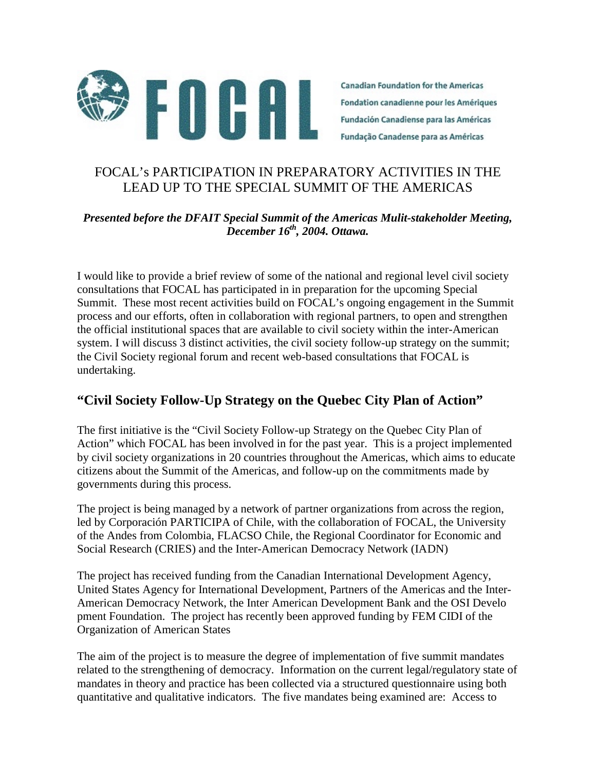

**Canadian Foundation for the Americas** Fondation canadienne pour les Amériques **Fundación Canadiense para las Américas** Fundação Canadense para as Américas

## FOCAL's PARTICIPATION IN PREPARATORY ACTIVITIES IN THE LEAD UP TO THE SPECIAL SUMMIT OF THE AMERICAS

#### *Presented before the DFAIT Special Summit of the Americas Mulit-stakeholder Meeting, December 16th, 2004. Ottawa.*

I would like to provide a brief review of some of the national and regional level civil society consultations that FOCAL has participated in in preparation for the upcoming Special Summit. These most recent activities build on FOCAL's ongoing engagement in the Summit process and our efforts, often in collaboration with regional partners, to open and strengthen the official institutional spaces that are available to civil society within the inter-American system. I will discuss 3 distinct activities, the civil society follow-up strategy on the summit; the Civil Society regional forum and recent web-based consultations that FOCAL is undertaking.

## **"Civil Society Follow-Up Strategy on the Quebec City Plan of Action"**

The first initiative is the "Civil Society Follow-up Strategy on the Quebec City Plan of Action" which FOCAL has been involved in for the past year. This is a project implemented by civil society organizations in 20 countries throughout the Americas, which aims to educate citizens about the Summit of the Americas, and follow-up on the commitments made by governments during this process.

The project is being managed by a network of partner organizations from across the region, led by Corporación PARTICIPA of Chile, with the collaboration of FOCAL, the University of the Andes from Colombia, FLACSO Chile, the Regional Coordinator for Economic and Social Research (CRIES) and the Inter-American Democracy Network (IADN)

The project has received funding from the Canadian International Development Agency, United States Agency for International Development, Partners of the Americas and the Inter-American Democracy Network, the Inter American Development Bank and the OSI Develo pment Foundation. The project has recently been approved funding by FEM CIDI of the Organization of American States

The aim of the project is to measure the degree of implementation of five summit mandates related to the strengthening of democracy. Information on the current legal/regulatory state of mandates in theory and practice has been collected via a structured questionnaire using both quantitative and qualitative indicators. The five mandates being examined are: Access to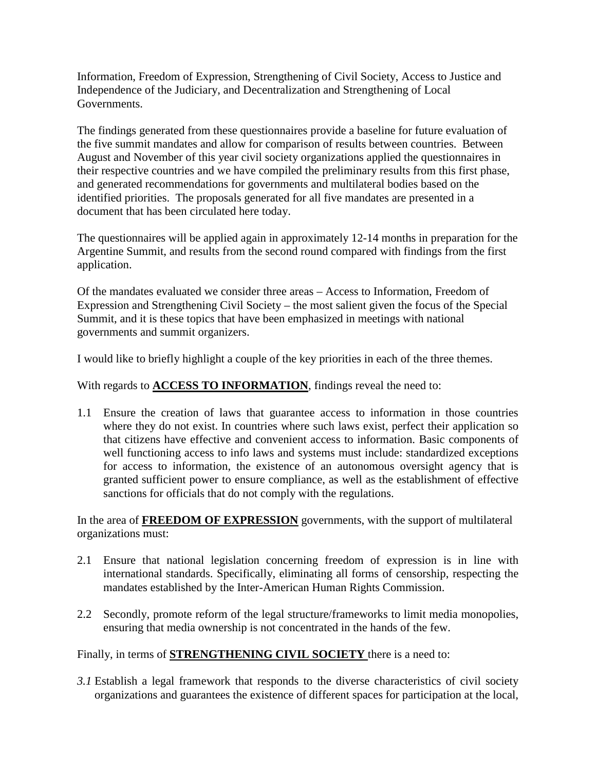Information, Freedom of Expression, Strengthening of Civil Society, Access to Justice and Independence of the Judiciary, and Decentralization and Strengthening of Local Governments.

The findings generated from these questionnaires provide a baseline for future evaluation of the five summit mandates and allow for comparison of results between countries. Between August and November of this year civil society organizations applied the questionnaires in their respective countries and we have compiled the preliminary results from this first phase, and generated recommendations for governments and multilateral bodies based on the identified priorities. The proposals generated for all five mandates are presented in a document that has been circulated here today.

The questionnaires will be applied again in approximately 12-14 months in preparation for the Argentine Summit, and results from the second round compared with findings from the first application.

Of the mandates evaluated we consider three areas – Access to Information, Freedom of Expression and Strengthening Civil Society – the most salient given the focus of the Special Summit, and it is these topics that have been emphasized in meetings with national governments and summit organizers.

I would like to briefly highlight a couple of the key priorities in each of the three themes.

With regards to **ACCESS TO INFORMATION**, findings reveal the need to:

1.1 Ensure the creation of laws that guarantee access to information in those countries where they do not exist. In countries where such laws exist, perfect their application so that citizens have effective and convenient access to information. Basic components of well functioning access to info laws and systems must include: standardized exceptions for access to information, the existence of an autonomous oversight agency that is granted sufficient power to ensure compliance, as well as the establishment of effective sanctions for officials that do not comply with the regulations.

In the area of **FREEDOM OF EXPRESSION** governments, with the support of multilateral organizations must:

- 2.1 Ensure that national legislation concerning freedom of expression is in line with international standards. Specifically, eliminating all forms of censorship, respecting the mandates established by the Inter-American Human Rights Commission.
- 2.2 Secondly, promote reform of the legal structure/frameworks to limit media monopolies, ensuring that media ownership is not concentrated in the hands of the few.

Finally, in terms of **STRENGTHENING CIVIL SOCIETY** there is a need to:

*3.1* Establish a legal framework that responds to the diverse characteristics of civil society organizations and guarantees the existence of different spaces for participation at the local,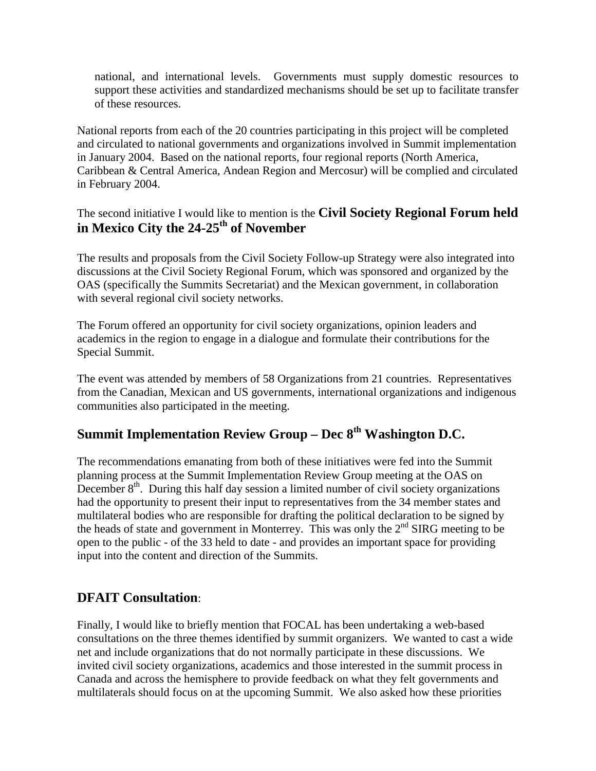national, and international levels. Governments must supply domestic resources to support these activities and standardized mechanisms should be set up to facilitate transfer of these resources.

National reports from each of the 20 countries participating in this project will be completed and circulated to national governments and organizations involved in Summit implementation in January 2004. Based on the national reports, four regional reports (North America, Caribbean & Central America, Andean Region and Mercosur) will be complied and circulated in February 2004.

The second initiative I would like to mention is the **Civil Society Regional Forum held in Mexico City the 24-25th of November** 

The results and proposals from the Civil Society Follow-up Strategy were also integrated into discussions at the Civil Society Regional Forum, which was sponsored and organized by the OAS (specifically the Summits Secretariat) and the Mexican government, in collaboration with several regional civil society networks.

The Forum offered an opportunity for civil society organizations, opinion leaders and academics in the region to engage in a dialogue and formulate their contributions for the Special Summit.

The event was attended by members of 58 Organizations from 21 countries. Representatives from the Canadian, Mexican and US governments, international organizations and indigenous communities also participated in the meeting.

# **Summit Implementation Review Group – Dec 8th Washington D.C.**

The recommendations emanating from both of these initiatives were fed into the Summit planning process at the Summit Implementation Review Group meeting at the OAS on December  $8<sup>th</sup>$ . During this half day session a limited number of civil society organizations had the opportunity to present their input to representatives from the 34 member states and multilateral bodies who are responsible for drafting the political declaration to be signed by the heads of state and government in Monterrey. This was only the  $2<sup>nd</sup>$  SIRG meeting to be open to the public - of the 33 held to date - and provides an important space for providing input into the content and direction of the Summits.

## **DFAIT Consultation**:

Finally, I would like to briefly mention that FOCAL has been undertaking a web-based consultations on the three themes identified by summit organizers. We wanted to cast a wide net and include organizations that do not normally participate in these discussions. We invited civil society organizations, academics and those interested in the summit process in Canada and across the hemisphere to provide feedback on what they felt governments and multilaterals should focus on at the upcoming Summit. We also asked how these priorities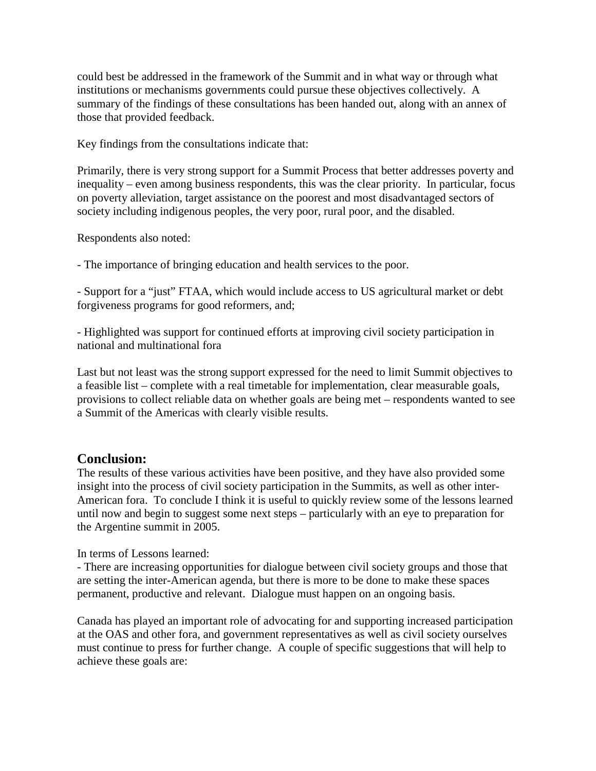could best be addressed in the framework of the Summit and in what way or through what institutions or mechanisms governments could pursue these objectives collectively. A summary of the findings of these consultations has been handed out, along with an annex of those that provided feedback.

Key findings from the consultations indicate that:

Primarily, there is very strong support for a Summit Process that better addresses poverty and inequality – even among business respondents, this was the clear priority. In particular, focus on poverty alleviation, target assistance on the poorest and most disadvantaged sectors of society including indigenous peoples, the very poor, rural poor, and the disabled.

Respondents also noted:

- The importance of bringing education and health services to the poor.

- Support for a "just" FTAA, which would include access to US agricultural market or debt forgiveness programs for good reformers, and;

- Highlighted was support for continued efforts at improving civil society participation in national and multinational fora

Last but not least was the strong support expressed for the need to limit Summit objectives to a feasible list – complete with a real timetable for implementation, clear measurable goals, provisions to collect reliable data on whether goals are being met – respondents wanted to see a Summit of the Americas with clearly visible results.

### **Conclusion:**

The results of these various activities have been positive, and they have also provided some insight into the process of civil society participation in the Summits, as well as other inter-American fora. To conclude I think it is useful to quickly review some of the lessons learned until now and begin to suggest some next steps – particularly with an eye to preparation for the Argentine summit in 2005.

In terms of Lessons learned:

- There are increasing opportunities for dialogue between civil society groups and those that are setting the inter-American agenda, but there is more to be done to make these spaces permanent, productive and relevant. Dialogue must happen on an ongoing basis.

Canada has played an important role of advocating for and supporting increased participation at the OAS and other fora, and government representatives as well as civil society ourselves must continue to press for further change. A couple of specific suggestions that will help to achieve these goals are: